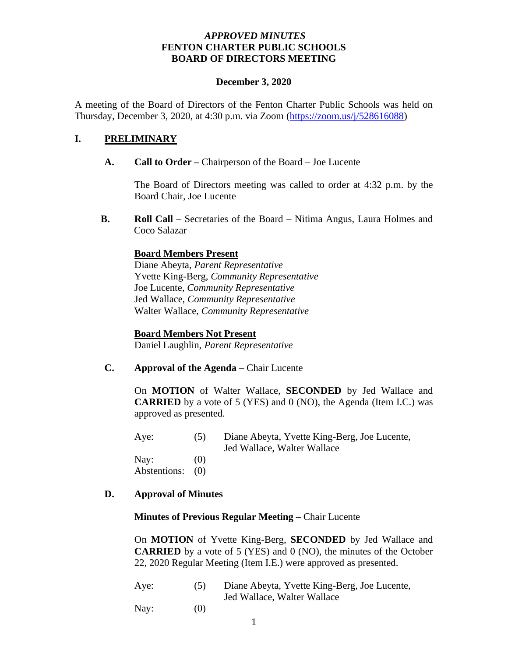### *APPROVED MINUTES* **FENTON CHARTER PUBLIC SCHOOLS BOARD OF DIRECTORS MEETING**

#### **December 3, 2020**

A meeting of the Board of Directors of the Fenton Charter Public Schools was held on Thursday, December 3, 2020, at 4:30 p.m. via Zoom [\(https://zoom.us/j/528616088\)](https://zoom.us/j/528616088)

# **I. PRELIMINARY**

**A. Call to Order –** Chairperson of the Board – Joe Lucente

The Board of Directors meeting was called to order at 4:32 p.m. by the Board Chair, Joe Lucente

**B. Roll Call** – Secretaries of the Board – Nitima Angus, Laura Holmes and Coco Salazar

# **Board Members Present**

Diane Abeyta, *Parent Representative* Yvette King-Berg, *Community Representative* Joe Lucente, *Community Representative* Jed Wallace, *Community Representative* Walter Wallace, *Community Representative* 

#### **Board Members Not Present**

Daniel Laughlin, *Parent Representative*

#### **C. Approval of the Agenda** – Chair Lucente

On **MOTION** of Walter Wallace, **SECONDED** by Jed Wallace and **CARRIED** by a vote of 5 (YES) and 0 (NO), the Agenda (Item I.C.) was approved as presented.

Aye: (5) Diane Abeyta, Yvette King-Berg, Joe Lucente, Jed Wallace, Walter Wallace

Nay:  $(0)$ Abstentions: (0)

## **D. Approval of Minutes**

#### **Minutes of Previous Regular Meeting** – Chair Lucente

On **MOTION** of Yvette King-Berg, **SECONDED** by Jed Wallace and **CARRIED** by a vote of 5 (YES) and 0 (NO), the minutes of the October 22, 2020 Regular Meeting (Item I.E.) were approved as presented.

| Aye: |     | Diane Abeyta, Yvette King-Berg, Joe Lucente, |
|------|-----|----------------------------------------------|
|      |     | Jed Wallace, Walter Wallace                  |
| Nay: | (0) |                                              |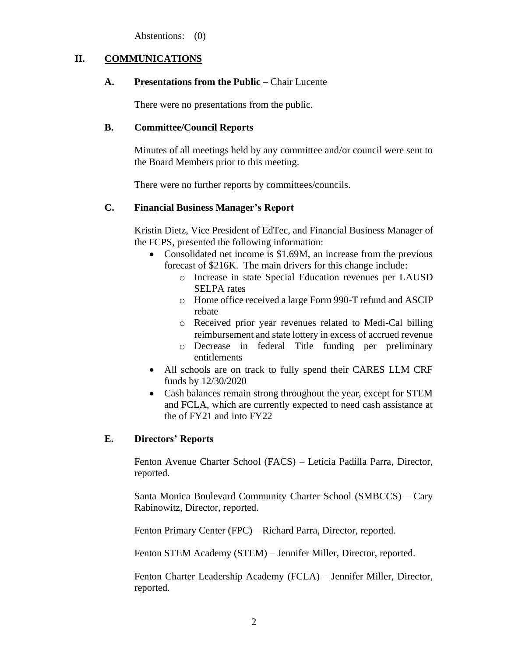Abstentions: (0)

# **II. COMMUNICATIONS**

#### **A. Presentations from the Public** – Chair Lucente

There were no presentations from the public.

# **B. Committee/Council Reports**

Minutes of all meetings held by any committee and/or council were sent to the Board Members prior to this meeting.

There were no further reports by committees/councils.

# **C. Financial Business Manager's Report**

Kristin Dietz, Vice President of EdTec, and Financial Business Manager of the FCPS, presented the following information:

- Consolidated net income is \$1.69M, an increase from the previous forecast of \$216K. The main drivers for this change include:
	- o Increase in state Special Education revenues per LAUSD SELPA rates
	- o Home office received a large Form 990-T refund and ASCIP rebate
	- o Received prior year revenues related to Medi-Cal billing reimbursement and state lottery in excess of accrued revenue
	- o Decrease in federal Title funding per preliminary entitlements
- All schools are on track to fully spend their CARES LLM CRF funds by 12/30/2020
- Cash balances remain strong throughout the year, except for STEM and FCLA, which are currently expected to need cash assistance at the of FY21 and into FY22

# **E. Directors' Reports**

Fenton Avenue Charter School (FACS) – Leticia Padilla Parra, Director, reported.

Santa Monica Boulevard Community Charter School (SMBCCS) – Cary Rabinowitz, Director, reported.

Fenton Primary Center (FPC) – Richard Parra, Director, reported.

Fenton STEM Academy (STEM) – Jennifer Miller, Director, reported.

Fenton Charter Leadership Academy (FCLA) – Jennifer Miller, Director, reported.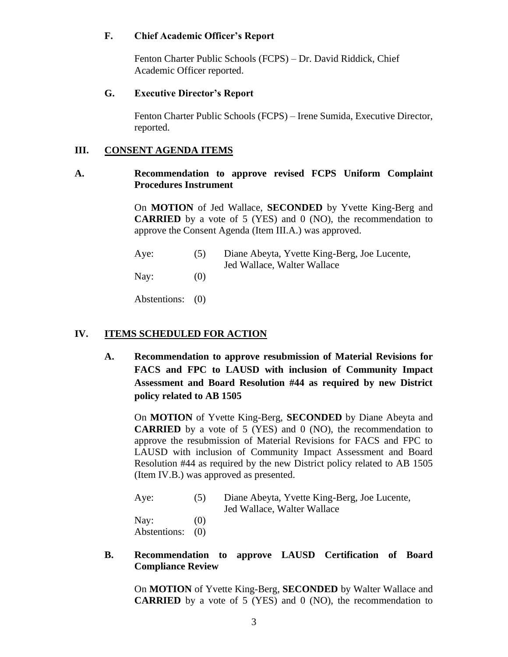# **F. Chief Academic Officer's Report**

Fenton Charter Public Schools (FCPS) – Dr. David Riddick, Chief Academic Officer reported.

## **G. Executive Director's Report**

Fenton Charter Public Schools (FCPS) – Irene Sumida, Executive Director, reported.

# **III. CONSENT AGENDA ITEMS**

# **A. Recommendation to approve revised FCPS Uniform Complaint Procedures Instrument**

On **MOTION** of Jed Wallace, **SECONDED** by Yvette King-Berg and **CARRIED** by a vote of 5 (YES) and 0 (NO), the recommendation to approve the Consent Agenda (Item III.A.) was approved.

| Aye: | (5) | Diane Abeyta, Yvette King-Berg, Joe Lucente,<br>Jed Wallace, Walter Wallace |
|------|-----|-----------------------------------------------------------------------------|
| Nay: | (0) |                                                                             |

Abstentions: (0)

# **IV. ITEMS SCHEDULED FOR ACTION**

**A. Recommendation to approve resubmission of Material Revisions for FACS and FPC to LAUSD with inclusion of Community Impact Assessment and Board Resolution #44 as required by new District policy related to AB 1505**

On **MOTION** of Yvette King-Berg, **SECONDED** by Diane Abeyta and **CARRIED** by a vote of 5 (YES) and 0 (NO), the recommendation to approve the resubmission of Material Revisions for FACS and FPC to LAUSD with inclusion of Community Impact Assessment and Board Resolution #44 as required by the new District policy related to AB 1505 (Item IV.B.) was approved as presented.

| Aye:             | (5) | Diane Abeyta, Yvette King-Berg, Joe Lucente,<br>Jed Wallace, Walter Wallace |
|------------------|-----|-----------------------------------------------------------------------------|
| Nay:             | (0) |                                                                             |
| Abstentions: (0) |     |                                                                             |

# **B. Recommendation to approve LAUSD Certification of Board Compliance Review**

On **MOTION** of Yvette King-Berg, **SECONDED** by Walter Wallace and **CARRIED** by a vote of 5 (YES) and 0 (NO), the recommendation to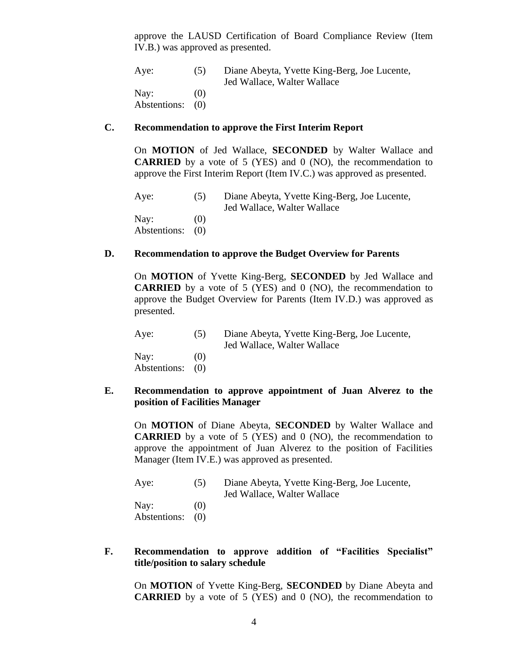approve the LAUSD Certification of Board Compliance Review (Item IV.B.) was approved as presented.

| Aye:             | (5) | Diane Abeyta, Yvette King-Berg, Joe Lucente, |
|------------------|-----|----------------------------------------------|
|                  |     | Jed Wallace, Walter Wallace                  |
| Nav:             | (0) |                                              |
| Abstentions: (0) |     |                                              |

#### **C. Recommendation to approve the First Interim Report**

On **MOTION** of Jed Wallace, **SECONDED** by Walter Wallace and **CARRIED** by a vote of 5 (YES) and 0 (NO), the recommendation to approve the First Interim Report (Item IV.C.) was approved as presented.

| Aye:             | (5) | Diane Abeyta, Yvette King-Berg, Joe Lucente,<br>Jed Wallace, Walter Wallace |
|------------------|-----|-----------------------------------------------------------------------------|
| Nay:             | (1) |                                                                             |
| Abstentions: (0) |     |                                                                             |

#### **D. Recommendation to approve the Budget Overview for Parents**

On **MOTION** of Yvette King-Berg, **SECONDED** by Jed Wallace and **CARRIED** by a vote of 5 (YES) and 0 (NO), the recommendation to approve the Budget Overview for Parents (Item IV.D.) was approved as presented.

| Aye:             | (5) | Diane Abeyta, Yvette King-Berg, Joe Lucente,<br>Jed Wallace, Walter Wallace |
|------------------|-----|-----------------------------------------------------------------------------|
| Nay:             | (0) |                                                                             |
| Abstentions: (0) |     |                                                                             |

#### **E. Recommendation to approve appointment of Juan Alverez to the position of Facilities Manager**

On **MOTION** of Diane Abeyta, **SECONDED** by Walter Wallace and **CARRIED** by a vote of 5 (YES) and 0 (NO), the recommendation to approve the appointment of Juan Alverez to the position of Facilities Manager (Item IV.E.) was approved as presented.

| Aye:             | (5) | Diane Abeyta, Yvette King-Berg, Joe Lucente,<br>Jed Wallace, Walter Wallace |
|------------------|-----|-----------------------------------------------------------------------------|
|                  |     |                                                                             |
| Nay:             | (1) |                                                                             |
| Abstentions: (0) |     |                                                                             |

#### **F. Recommendation to approve addition of "Facilities Specialist" title/position to salary schedule**

On **MOTION** of Yvette King-Berg, **SECONDED** by Diane Abeyta and **CARRIED** by a vote of 5 (YES) and 0 (NO), the recommendation to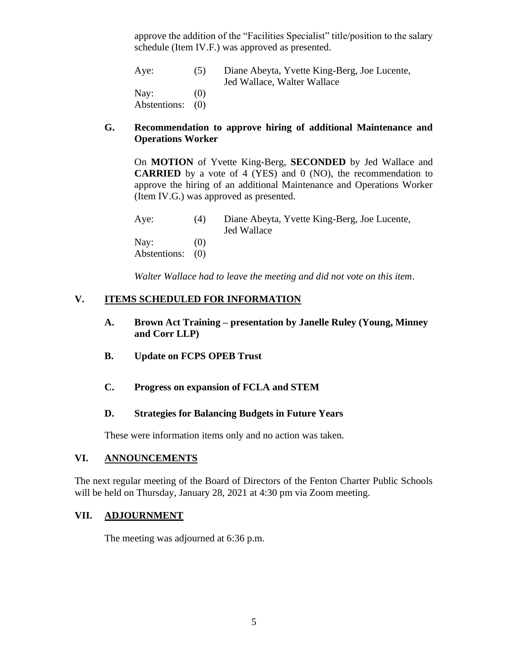approve the addition of the "Facilities Specialist" title/position to the salary schedule (Item IV.F.) was approved as presented.

| Aye:             | (5) | Diane Abeyta, Yvette King-Berg, Joe Lucente,<br>Jed Wallace, Walter Wallace |
|------------------|-----|-----------------------------------------------------------------------------|
| Nay:             | (0) |                                                                             |
| Abstentions: (0) |     |                                                                             |

# **G. Recommendation to approve hiring of additional Maintenance and Operations Worker**

On **MOTION** of Yvette King-Berg, **SECONDED** by Jed Wallace and **CARRIED** by a vote of 4 (YES) and 0 (NO), the recommendation to approve the hiring of an additional Maintenance and Operations Worker (Item IV.G.) was approved as presented.

| Aye:             | (4) | Diane Abeyta, Yvette King-Berg, Joe Lucente,<br><b>Jed Wallace</b> |
|------------------|-----|--------------------------------------------------------------------|
| Nay:             | (0) |                                                                    |
| Abstentions: (0) |     |                                                                    |

*Walter Wallace had to leave the meeting and did not vote on this item*.

# **V. ITEMS SCHEDULED FOR INFORMATION**

#### **A. Brown Act Training – presentation by Janelle Ruley (Young, Minney and Corr LLP)**

- **B. Update on FCPS OPEB Trust**
- **C. Progress on expansion of FCLA and STEM**

#### **D. Strategies for Balancing Budgets in Future Years**

These were information items only and no action was taken.

# **VI. ANNOUNCEMENTS**

The next regular meeting of the Board of Directors of the Fenton Charter Public Schools will be held on Thursday, January 28, 2021 at 4:30 pm via Zoom meeting.

#### **VII. ADJOURNMENT**

The meeting was adjourned at 6:36 p.m.